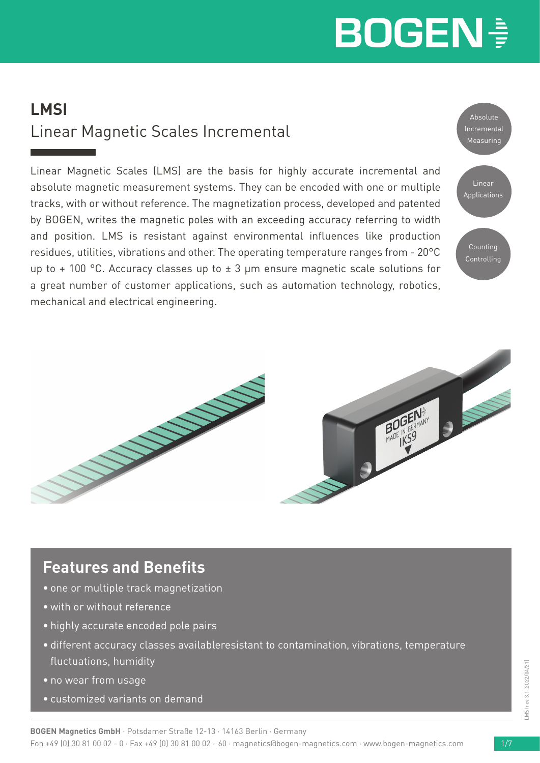# **LMSI** Linear Magnetic Scales Incremental

Linear Magnetic Scales (LMS) are the basis for highly accurate incremental and absolute magnetic measurement systems. They can be encoded with one or multiple tracks, with or without reference. The magnetization process, developed and patented by BOGEN, writes the magnetic poles with an exceeding accuracy referring to width and position. LMS is resistant against environmental influences like production residues, utilities, vibrations and other. The operating temperature ranges from - 20°C up to + 100 °C. Accuracy classes up to  $\pm$  3 µm ensure magnetic scale solutions for a great number of customer applications, such as automation technology, robotics, mechanical and electrical engineering.





# **Features and Benefits**

- one or multiple track magnetization
- with or without reference
- highly accurate encoded pole pairs
- different accuracy classes availableresistant to contamination, vibrations, temperature fluctuations, humidity
- no wear from usage
- customized variants on demand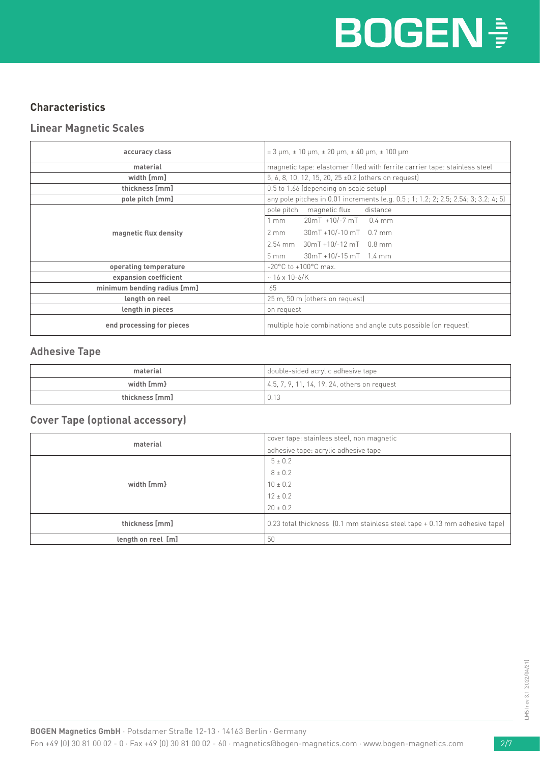# **BOGEN<sup>®</sup>**

### **Characteristics**

#### **Linear Magnetic Scales**

| accuracy class              | $\pm$ 3 µm, $\pm$ 10 µm, $\pm$ 20 µm, $\pm$ 40 µm, $\pm$ 100 µm                    |  |
|-----------------------------|------------------------------------------------------------------------------------|--|
| material                    | magnetic tape: elastomer filled with ferrite carrier tape: stainless steel         |  |
| width [mm]                  | 5, 6, 8, 10, 12, 15, 20, 25 ±0.2 (others on request)                               |  |
| thickness [mm]              | 0.5 to 1.66 (depending on scale setup)                                             |  |
| pole pitch [mm]             | any pole pitches in 0.01 increments (e.g. 0.5; 1; 1.2; 2; 2.5; 2.54; 3; 3.2; 4; 5) |  |
|                             | pole pitch magnetic flux<br>distance                                               |  |
|                             | 20mT +10/-7 mT 0.4 mm<br>1 mm                                                      |  |
| magnetic flux density       | 30mT +10/-10 mT 0.7 mm<br>$2 \text{ mm}$                                           |  |
|                             | 2.54 mm 30mT +10/-12 mT 0.8 mm                                                     |  |
|                             | $30mT + 10/-15mT$ 1.4 mm<br>$5 \text{ mm}$                                         |  |
| operating temperature       | -20°C to +100°C max.                                                               |  |
| expansion coefficient       | $~16 \times 10 - 6$ /K                                                             |  |
| minimum bending radius [mm] | 65                                                                                 |  |
| length on reel              | 25 m, 50 m (others on request)                                                     |  |
| length in pieces            | on request                                                                         |  |
| end processing for pieces   | multiple hole combinations and angle cuts possible (on request)                    |  |

#### **Adhesive Tape**

| material       | double-sided acrylic adhesive tape               |
|----------------|--------------------------------------------------|
| width [mm}     | $(4.5, 7, 9, 11, 14, 19, 24, others on request)$ |
| thickness [mm] | 0.13                                             |

### **Cover Tape (optional accessory)**

| material           | cover tape: stainless steel, non magnetic                                  |
|--------------------|----------------------------------------------------------------------------|
|                    | adhesive tape: acrylic adhesive tape                                       |
|                    | $5 \pm 0.2$                                                                |
|                    | $8 \pm 0.2$                                                                |
| width [mm}         | $10 \pm 0.2$                                                               |
|                    | $12 \pm 0.2$                                                               |
|                    | $20 \pm 0.2$                                                               |
| thickness [mm]     | 0.23 total thickness (0.1 mm stainless steel tape + 0.13 mm adhesive tape) |
| length on reel [m] | 50                                                                         |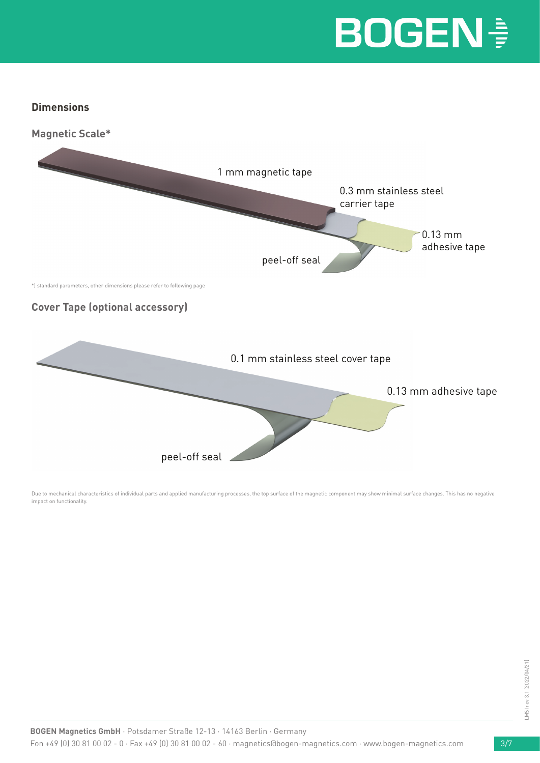#### **Dimensions**



Due to mechanical characteristics of individual parts and applied manufacturing processes, the top surface of the magnetic component may show minimal surface changes. This has no negative impact on functionality.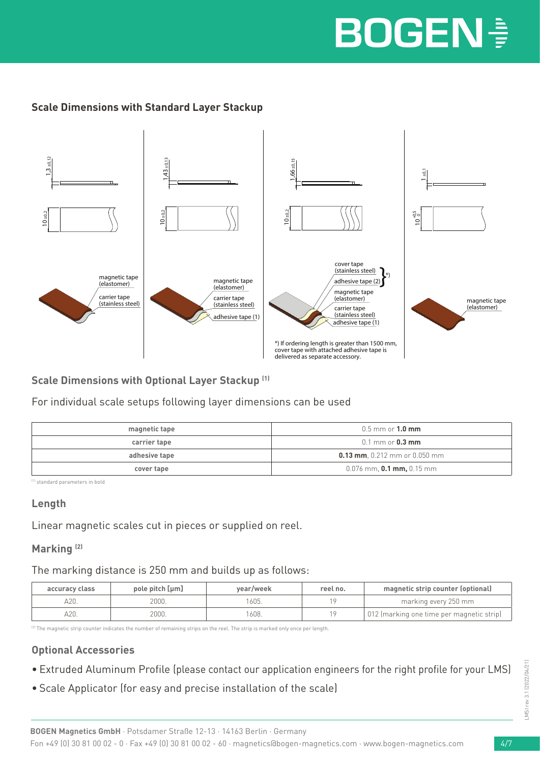## **Scale Dimensions with Standard Layer Stackup**



### **Scale Dimensions with Optional Layer Stackup (1)**

For individual scale setups following layer dimensions can be used

| magnetic tape | $0.5$ mm or $1.0$ mm                  |
|---------------|---------------------------------------|
| carrier tape  | $0.1 \text{ mm}$ or $0.3 \text{ mm}$  |
| adhesive tape | <b>0.13 mm</b> , 0.212 mm or 0.050 mm |
| cover tape    | $0.076$ mm, <b>0.1 mm,</b> 0.15 mm    |

(1) standard parameters in bold

#### **Length**

Linear magnetic scales cut in pieces or supplied on reel.

### **Marking (2)**

The marking distance is 250 mm and builds up as follows:

| accuracy class | pole pitch [µm] | year/week | reel no. | magnetic strip counter (optional)         |
|----------------|-----------------|-----------|----------|-------------------------------------------|
| A20.           | 2000.           | 1605.     |          | marking every 250 mm                      |
| 420.           | 2000.           | 1608.     |          | 012 (marking one time per magnetic strip) |

<sup>(2)</sup> The magnetic strip counter indicates the number of remaining strips on the reel. The strip is marked only once per length.

### **Optional Accessories**

- Extruded Aluminum Profile (please contact our application engineers for the right profile for your LMS)
- Scale Applicator (for easy and precise installation of the scale)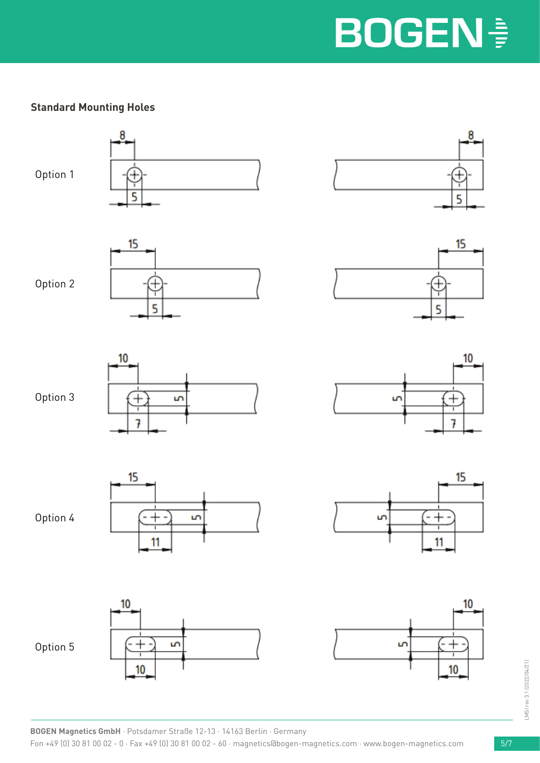## **Standard Mounting Holes**

Option 1









5

u

10

7

15

11









Option 4

Option 5





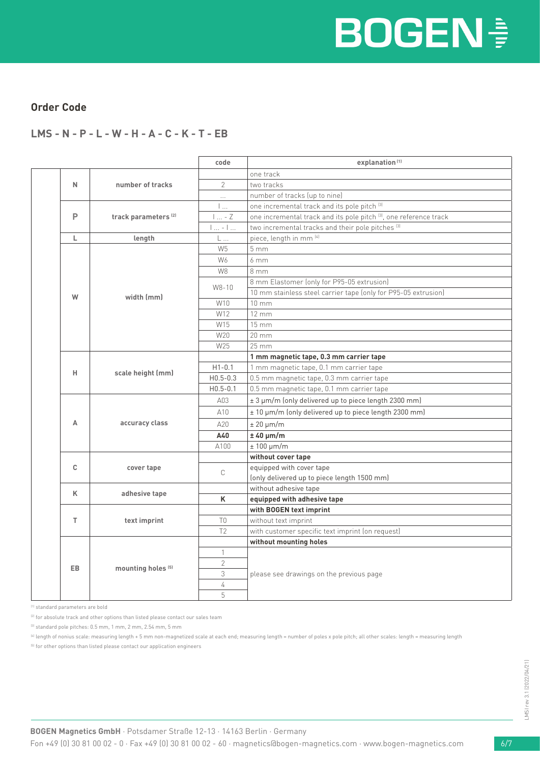#### **Order Code**

#### **LMS - N - P - L - W - H - A - C - K - T - EB**

|  |                    |                                 | code                     | explanation <sup>(1)</sup>                                                    |  |  |
|--|--------------------|---------------------------------|--------------------------|-------------------------------------------------------------------------------|--|--|
|  |                    |                                 |                          | one track                                                                     |  |  |
|  | N                  | number of tracks                | $\overline{2}$           | two tracks                                                                    |  |  |
|  |                    |                                 | $\cdots$                 | number of tracks (up to nine)                                                 |  |  |
|  |                    |                                 | $\mathbf{L}$             | one incremental track and its pole pitch <a>(3)</a>                           |  |  |
|  | P                  | track parameters <sup>(2)</sup> | $1 - 7$                  | one incremental track and its pole pitch <sup>(3)</sup> , one reference track |  |  |
|  |                    |                                 | $1 - 1$                  | two incremental tracks and their pole pitches <sup>[3]</sup>                  |  |  |
|  | L                  | length                          | L                        | piece, length in mm [4]                                                       |  |  |
|  |                    |                                 | W <sub>5</sub>           | 5 <sub>mm</sub>                                                               |  |  |
|  |                    |                                 | W6                       | 6mm                                                                           |  |  |
|  |                    |                                 | W8                       | 8mm                                                                           |  |  |
|  |                    |                                 |                          | 8 mm Elastomer (only for P95-05 extrusion)                                    |  |  |
|  | W                  | width (mm)                      | W8-10                    | 10 mm stainless steel carrier tape (only for P95-05 extrusion)                |  |  |
|  |                    |                                 | W10                      | $10 \, \text{mm}$                                                             |  |  |
|  |                    |                                 | W12                      | $12 \, \text{mm}$                                                             |  |  |
|  |                    |                                 | W15                      | 15 mm                                                                         |  |  |
|  |                    |                                 | W20                      | $20 \, \text{mm}$                                                             |  |  |
|  |                    |                                 | W25                      | 25 mm                                                                         |  |  |
|  |                    |                                 |                          | 1 mm magnetic tape, 0.3 mm carrier tape                                       |  |  |
|  | н                  | scale height (mm)               | $H1 - 0.1$               | 1 mm magnetic tape, 0.1 mm carrier tape                                       |  |  |
|  |                    |                                 | $H0.5 - 0.3$             | 0.5 mm magnetic tape, 0.3 mm carrier tape                                     |  |  |
|  |                    |                                 | $H0.5 - 0.1$             | 0.5 mm magnetic tape, 0.1 mm carrier tape                                     |  |  |
|  |                    |                                 | A03                      | ± 3 µm/m (only delivered up to piece length 2300 mm)                          |  |  |
|  |                    |                                 | A10                      | ± 10 µm/m (only delivered up to piece length 2300 mm)                         |  |  |
|  | A                  | accuracy class                  | A20                      | $± 20 \mu m/m$                                                                |  |  |
|  |                    |                                 | A40                      | $± 40 \mu m/m$                                                                |  |  |
|  |                    |                                 | A100                     | $± 100 \mu m/m$                                                               |  |  |
|  |                    |                                 |                          | without cover tape                                                            |  |  |
|  | C<br>cover tape    | C                               | equipped with cover tape |                                                                               |  |  |
|  |                    |                                 |                          | (only delivered up to piece length 1500 mm)                                   |  |  |
|  | ĸ                  |                                 |                          | without adhesive tape                                                         |  |  |
|  |                    | adhesive tape                   |                          | equipped with adhesive tape                                                   |  |  |
|  | T.<br>text imprint |                                 | with BOGEN text imprint  |                                                                               |  |  |
|  |                    | T <sub>0</sub>                  | without text imprint     |                                                                               |  |  |
|  |                    |                                 | T <sub>2</sub>           | with customer specific text imprint (on request)                              |  |  |
|  | EB.                |                                 |                          | without mounting holes                                                        |  |  |
|  |                    |                                 | $\mathbf{1}$             |                                                                               |  |  |
|  |                    | mounting holes <sup>(5)</sup>   | $\overline{2}$           | please see drawings on the previous page                                      |  |  |
|  |                    |                                 | 3                        |                                                                               |  |  |
|  |                    |                                 | 4                        |                                                                               |  |  |
|  |                    |                                 | 5                        |                                                                               |  |  |

(1) standard parameters are bold

(5) for other options than listed please contact our application engineers

<sup>(2)</sup> for absolute track and other options than listed please contact our sales team

<sup>(3)</sup> standard pole pitches: 0.5 mm, 1 mm, 2 mm, 2.54 mm, 5 mm

<sup>(4)</sup> length of nonius scale: measuring length + 5 mm non-magnetized scale at each end; measuring length = number of poles x pole pitch; all other scales: length = measuring length